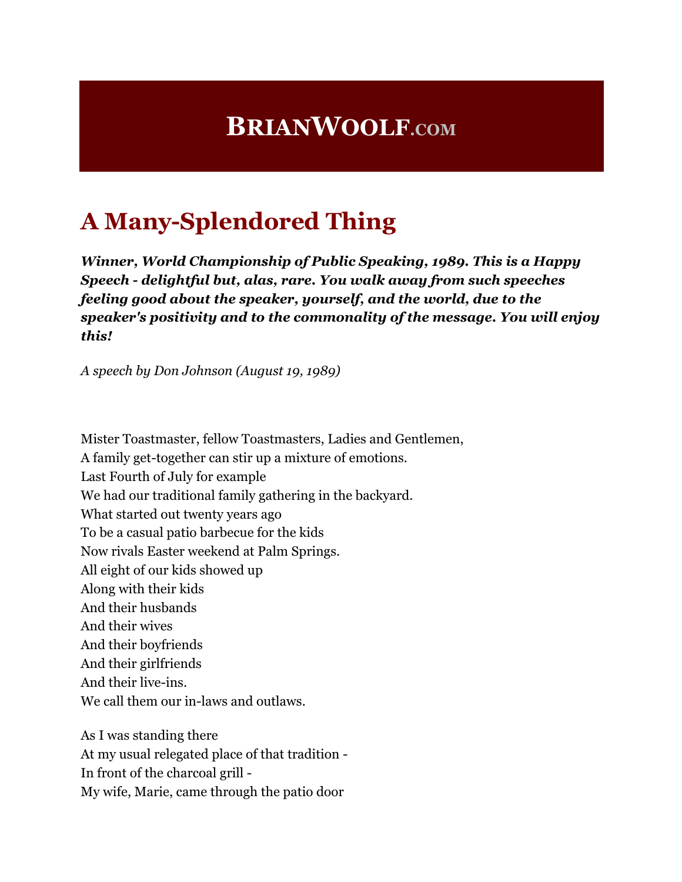## **BRIANWOOLF.COM**

## **A Many-Splendored Thing**

*Winner, World Championship of Public Speaking, 1989. This is a Happy Speech - delightful but, alas, rare. You walk away from such speeches feeling good about the speaker, yourself, and the world, due to the speaker's positivity and to the commonality of the message. You will enjoy this!*

*A speech by Don Johnson (August 19, 1989)*

Mister Toastmaster, fellow Toastmasters, Ladies and Gentlemen, A family get-together can stir up a mixture of emotions. Last Fourth of July for example We had our traditional family gathering in the backyard. What started out twenty years ago To be a casual patio barbecue for the kids Now rivals Easter weekend at Palm Springs. All eight of our kids showed up Along with their kids And their husbands And their wives And their boyfriends And their girlfriends And their live-ins. We call them our in-laws and outlaws. As I was standing there

At my usual relegated place of that tradition - In front of the charcoal grill - My wife, Marie, came through the patio door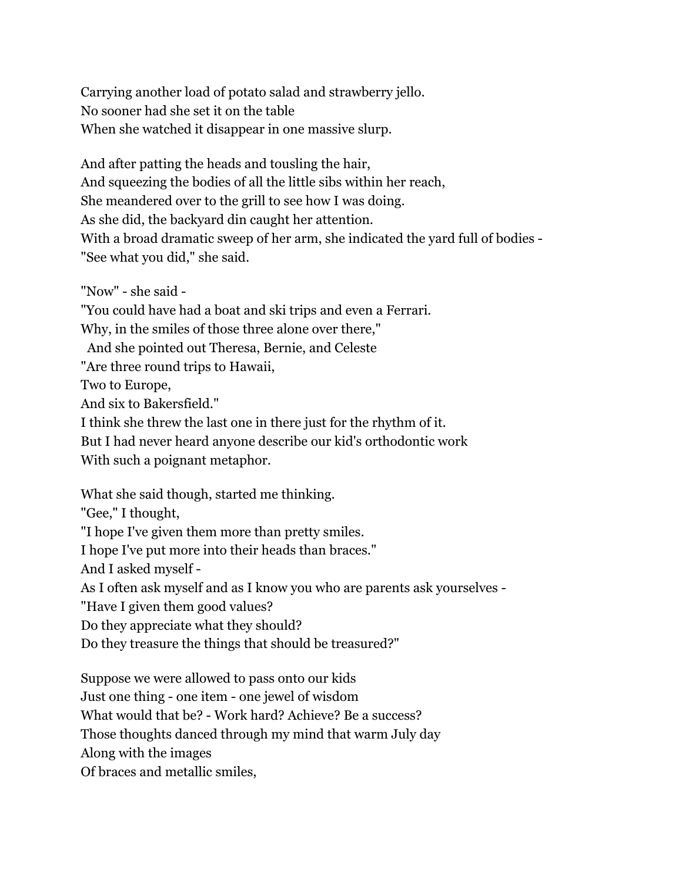Carrying another load of potato salad and strawberry jello. No sooner had she set it on the table When she watched it disappear in one massive slurp.

And after patting the heads and tousling the hair, And squeezing the bodies of all the little sibs within her reach, She meandered over to the grill to see how I was doing. As she did, the backyard din caught her attention. With a broad dramatic sweep of her arm, she indicated the yard full of bodies - "See what you did," she said.

"Now" - she said - "You could have had a boat and ski trips and even a Ferrari. Why, in the smiles of those three alone over there," And she pointed out Theresa, Bernie, and Celeste "Are three round trips to Hawaii, Two to Europe, And six to Bakersfield." I think she threw the last one in there just for the rhythm of it. But I had never heard anyone describe our kid's orthodontic work With such a poignant metaphor. What she said though, started me thinking. "Gee," I thought,

"I hope I've given them more than pretty smiles.

I hope I've put more into their heads than braces."

And I asked myself -

As I often ask myself and as I know you who are parents ask yourselves -

"Have I given them good values?

Do they appreciate what they should?

Do they treasure the things that should be treasured?"

Suppose we were allowed to pass onto our kids

Just one thing - one item - one jewel of wisdom

What would that be? - Work hard? Achieve? Be a success?

Those thoughts danced through my mind that warm July day

Along with the images

Of braces and metallic smiles,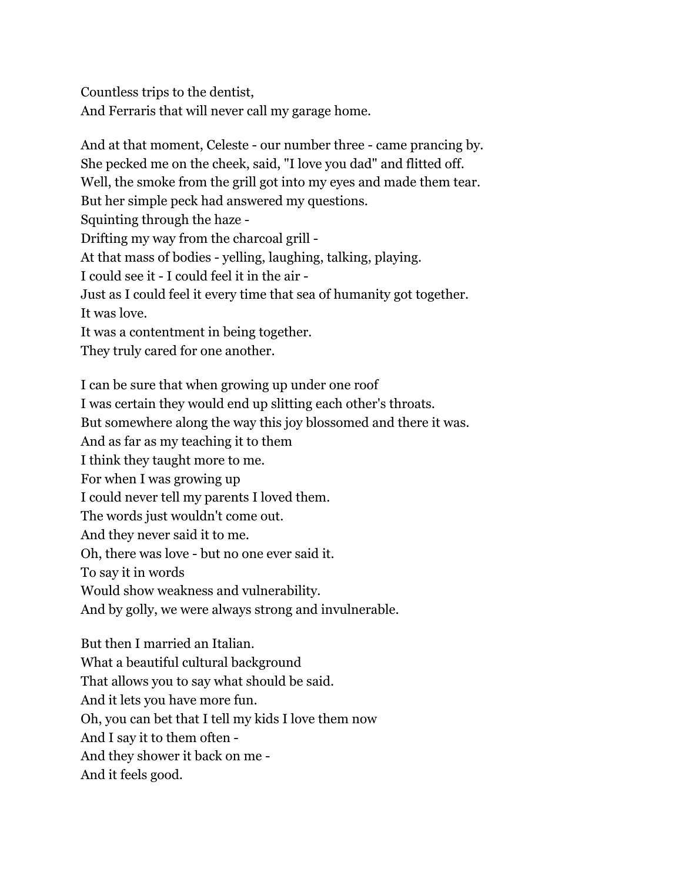Countless trips to the dentist, And Ferraris that will never call my garage home.

And at that moment, Celeste - our number three - came prancing by. She pecked me on the cheek, said, "I love you dad" and flitted off. Well, the smoke from the grill got into my eyes and made them tear. But her simple peck had answered my questions. Squinting through the haze - Drifting my way from the charcoal grill - At that mass of bodies - yelling, laughing, talking, playing. I could see it - I could feel it in the air - Just as I could feel it every time that sea of humanity got together. It was love. It was a contentment in being together. They truly cared for one another. I can be sure that when growing up under one roof

I was certain they would end up slitting each other's throats. But somewhere along the way this joy blossomed and there it was. And as far as my teaching it to them I think they taught more to me. For when I was growing up I could never tell my parents I loved them. The words just wouldn't come out. And they never said it to me. Oh, there was love - but no one ever said it. To say it in words Would show weakness and vulnerability. And by golly, we were always strong and invulnerable. But then I married an Italian. What a beautiful cultural background That allows you to say what should be said. And it lets you have more fun. Oh, you can bet that I tell my kids I love them now

And I say it to them often -

And they shower it back on me -

And it feels good.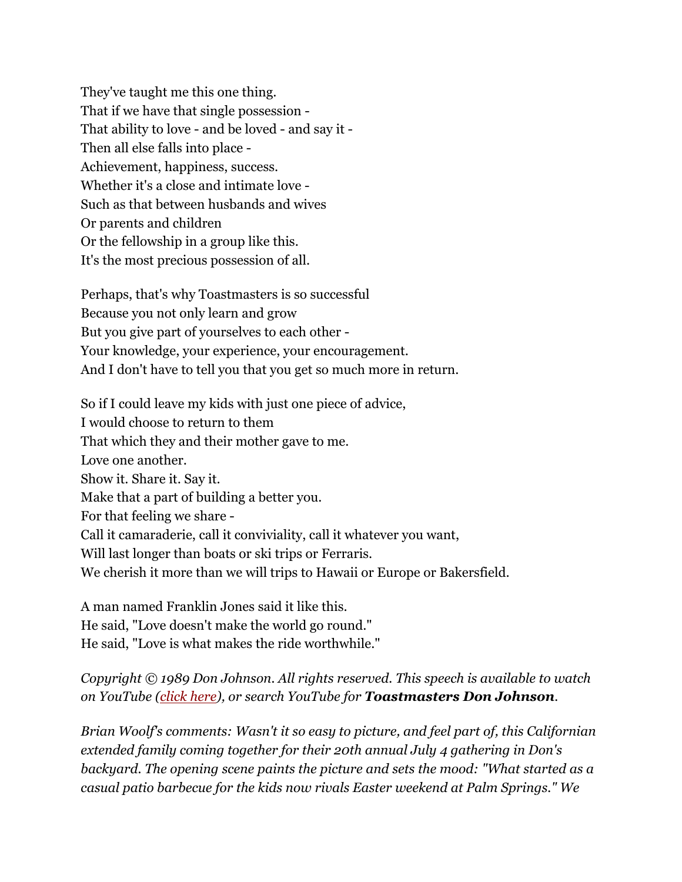They've taught me this one thing. That if we have that single possession - That ability to love - and be loved - and say it - Then all else falls into place - Achievement, happiness, success. Whether it's a close and intimate love - Such as that between husbands and wives Or parents and children Or the fellowship in a group like this. It's the most precious possession of all.

Perhaps, that's why Toastmasters is so successful Because you not only learn and grow But you give part of yourselves to each other - Your knowledge, your experience, your encouragement. And I don't have to tell you that you get so much more in return.

So if I could leave my kids with just one piece of advice, I would choose to return to them That which they and their mother gave to me. Love one another. Show it. Share it. Say it. Make that a part of building a better you. For that feeling we share - Call it camaraderie, call it conviviality, call it whatever you want, Will last longer than boats or ski trips or Ferraris. We cherish it more than we will trips to Hawaii or Europe or Bakersfield.

A man named Franklin Jones said it like this. He said, "Love doesn't make the world go round." He said, "Love is what makes the ride worthwhile."

*Copyright © 1989 Don Johnson. All rights reserved. This speech is available to watch on YouTube (click here), or search YouTube for Toastmasters Don Johnson.*

*Brian Woolf's comments: Wasn't it so easy to picture, and feel part of, this Californian extended family coming together for their 20th annual July 4 gathering in Don's backyard. The opening scene paints the picture and sets the mood: "What started as a casual patio barbecue for the kids now rivals Easter weekend at Palm Springs." We*